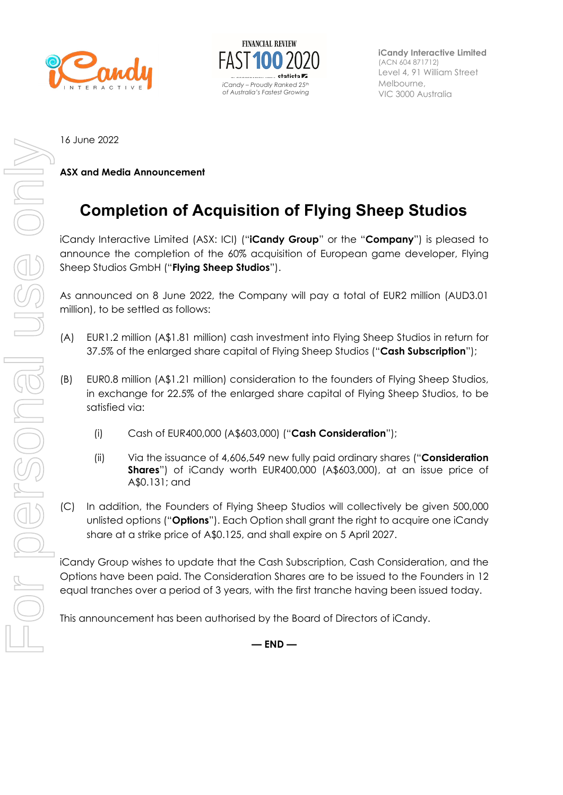



**iCandy Interactive Limited** (ACN 604 871712) Level 4, 91 William Street Melbourne, VIC 3000 Australia

16 June 2022

**ASX and Media Announcement** 

## **Completion of Acquisition of Flying Sheep Studios**

iCandy Interactive Limited (ASX: ICI) ("**iCandy Group**" or the "**Company**") is pleased to announce the completion of the 60% acquisition of European game developer, Flying Sheep Studios GmbH ("**Flying Sheep Studios**").

As announced on 8 June 2022, the Company will pay a total of EUR2 million (AUD3.01 million), to be settled as follows:

- (A) EUR1.2 million (A\$1.81 million) cash investment into Flying Sheep Studios in return for 37.5% of the enlarged share capital of Flying Sheep Studios ("**Cash Subscription**");
- (B) EUR0.8 million (A\$1.21 million) consideration to the founders of Flying Sheep Studios, in exchange for 22.5% of the enlarged share capital of Flying Sheep Studios, to be satisfied via:
	- (i) Cash of EUR400,000 (A\$603,000) ("**Cash Consideration**");
	- (ii) Via the issuance of 4,606,549 new fully paid ordinary shares ("**Consideration Shares**") of iCandy worth EUR400,000 (A\$603,000), at an issue price of A\$0.131; and
- (C) In addition, the Founders of Flying Sheep Studios will collectively be given 500,000 unlisted options ("**Options**"). Each Option shall grant the right to acquire one iCandy share at a strike price of A\$0.125, and shall expire on 5 April 2027.

iCandy Group wishes to update that the Cash Subscription, Cash Consideration, and the Options have been paid. The Consideration Shares are to be issued to the Founders in 12 equal tranches over a period of 3 years, with the first tranche having been issued today.

This announcement has been authorised by the Board of Directors of iCandy.

**— END —**